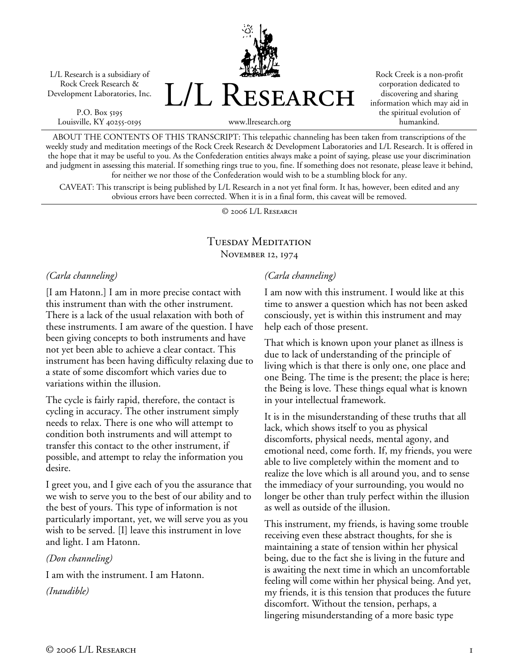L/L Research is a subsidiary of Rock Creek Research & Development Laboratories, Inc.

P.O. Box 5195 Louisville, KY 40255-0195 L/L Research

Rock Creek is a non-profit corporation dedicated to discovering and sharing information which may aid in the spiritual evolution of humankind.

www.llresearch.org

ABOUT THE CONTENTS OF THIS TRANSCRIPT: This telepathic channeling has been taken from transcriptions of the weekly study and meditation meetings of the Rock Creek Research & Development Laboratories and L/L Research. It is offered in the hope that it may be useful to you. As the Confederation entities always make a point of saying, please use your discrimination and judgment in assessing this material. If something rings true to you, fine. If something does not resonate, please leave it behind, for neither we nor those of the Confederation would wish to be a stumbling block for any.

CAVEAT: This transcript is being published by L/L Research in a not yet final form. It has, however, been edited and any obvious errors have been corrected. When it is in a final form, this caveat will be removed.

© 2006 L/L Research

## Tuesday Meditation November 12, 1974

## *(Carla channeling)*

[I am Hatonn.] I am in more precise contact with this instrument than with the other instrument. There is a lack of the usual relaxation with both of these instruments. I am aware of the question. I have been giving concepts to both instruments and have not yet been able to achieve a clear contact. This instrument has been having difficulty relaxing due to a state of some discomfort which varies due to variations within the illusion.

The cycle is fairly rapid, therefore, the contact is cycling in accuracy. The other instrument simply needs to relax. There is one who will attempt to condition both instruments and will attempt to transfer this contact to the other instrument, if possible, and attempt to relay the information you desire.

I greet you, and I give each of you the assurance that we wish to serve you to the best of our ability and to the best of yours. This type of information is not particularly important, yet, we will serve you as you wish to be served. [I] leave this instrument in love and light. I am Hatonn.

## *(Don channeling)*

I am with the instrument. I am Hatonn.

*(Inaudible)* 

## *(Carla channeling)*

I am now with this instrument. I would like at this time to answer a question which has not been asked consciously, yet is within this instrument and may help each of those present.

That which is known upon your planet as illness is due to lack of understanding of the principle of living which is that there is only one, one place and one Being. The time is the present; the place is here; the Being is love. These things equal what is known in your intellectual framework.

It is in the misunderstanding of these truths that all lack, which shows itself to you as physical discomforts, physical needs, mental agony, and emotional need, come forth. If, my friends, you were able to live completely within the moment and to realize the love which is all around you, and to sense the immediacy of your surrounding, you would no longer be other than truly perfect within the illusion as well as outside of the illusion.

This instrument, my friends, is having some trouble receiving even these abstract thoughts, for she is maintaining a state of tension within her physical being, due to the fact she is living in the future and is awaiting the next time in which an uncomfortable feeling will come within her physical being. And yet, my friends, it is this tension that produces the future discomfort. Without the tension, perhaps, a lingering misunderstanding of a more basic type